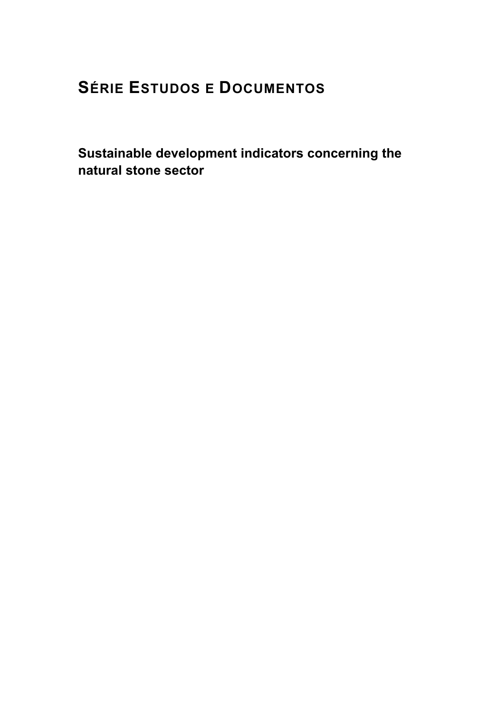# **SÉRIE ESTUDOS E DOCUMENTOS**

**Sustainable development indicators concerning the natural stone sector**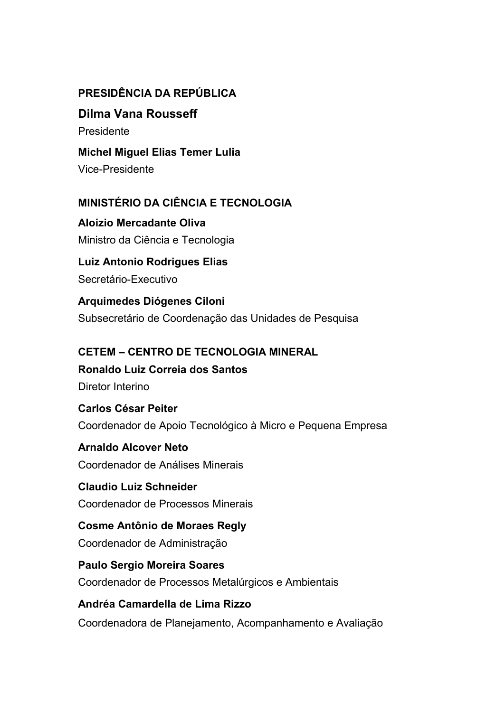### **PRESIDÊNCIA DA REPÚBLICA**

#### **Dilma Vana Rousseff**

Presidente

#### **Michel Miguel Elias Temer Lulia**

Vice-Presidente

#### **MINISTÉRIO DA CIÊNCIA E TECNOLOGIA**

**Aloizio Mercadante Oliva**  Ministro da Ciência e Tecnologia

# **Luiz Antonio Rodrigues Elias**

Secretário-Executivo

#### **Arquimedes Diógenes Ciloni**

Subsecretário de Coordenação das Unidades de Pesquisa

#### **CETEM – CENTRO DE TECNOLOGIA MINERAL**

# **Ronaldo Luiz Correia dos Santos**

Diretor Interino

### **Carlos César Peiter**  Coordenador de Apoio Tecnológico à Micro e Pequena Empresa

### **Arnaldo Alcover Neto**

Coordenador de Análises Minerais

# **Claudio Luiz Schneider**

Coordenador de Processos Minerais

### **Cosme Antônio de Moraes Regly**  Coordenador de Administração

**Paulo Sergio Moreira Soares**  Coordenador de Processos Metalúrgicos e Ambientais

### **Andréa Camardella de Lima Rizzo**  Coordenadora de Planejamento, Acompanhamento e Avaliação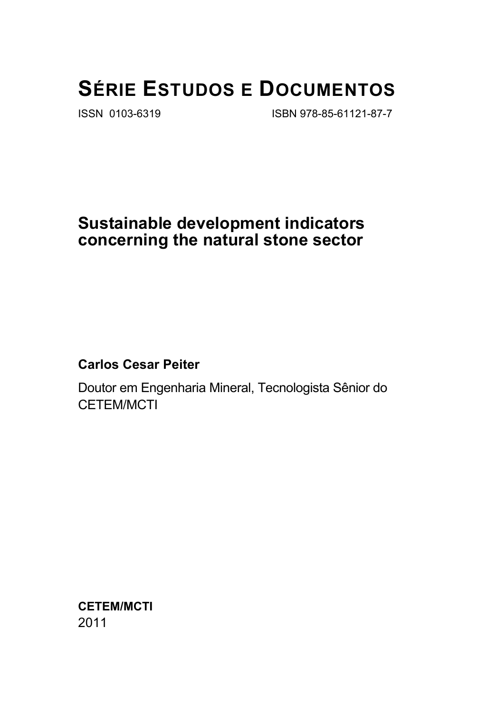# **SÉRIE ESTUDOS E DOCUMENTOS**

ISSN 0103-6319 ISBN 978-85-61121-87-7

# **Sustainable development indicators concerning the natural stone sector**

### **Carlos Cesar Peiter**

Doutor em Engenharia Mineral, Tecnologista Sênior do CETEM/MCTI

**CETEM/MCTI**  2011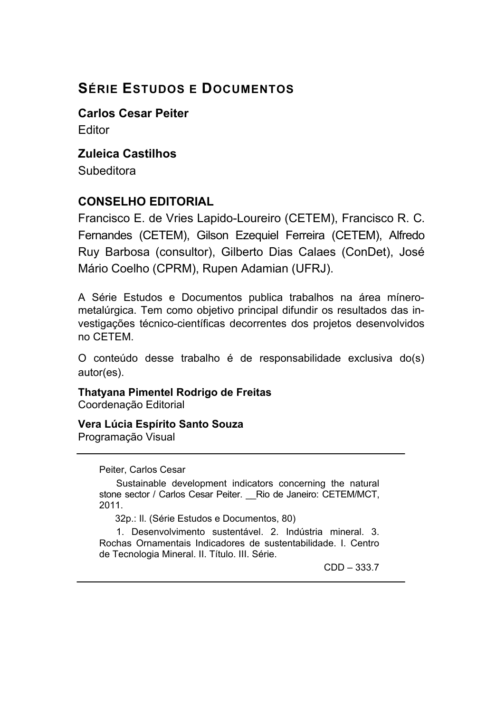# **SÉRIE ESTUDOS E DOCUMENTOS**

**Carlos Cesar Peiter** Editor

### **Zuleica Castilhos**

**Subeditora** 

### **CONSELHO EDITORIAL**

Francisco E. de Vries Lapido-Loureiro (CETEM), Francisco R. C. Fernandes (CETEM), Gilson Ezequiel Ferreira (CETEM), Alfredo Ruy Barbosa (consultor), Gilberto Dias Calaes (ConDet), José Mário Coelho (CPRM), Rupen Adamian (UFRJ).

A Série Estudos e Documentos publica trabalhos na área mínerometalúrgica. Tem como objetivo principal difundir os resultados das investigações técnico-científicas decorrentes dos projetos desenvolvidos no CETEM.

O conteúdo desse trabalho é de responsabilidade exclusiva do(s) autor(es).

**Thatyana Pimentel Rodrigo de Freitas**  Coordenação Editorial

**Vera Lúcia Espírito Santo Souza**  Programação Visual

Peiter, Carlos Cesar

Sustainable development indicators concerning the natural stone sector / Carlos Cesar Peiter. \_\_Rio de Janeiro: CETEM/MCT, 2011.

32p.: Il. (Série Estudos e Documentos, 80)

1. Desenvolvimento sustentável. 2. Indústria mineral. 3. Rochas Ornamentais Indicadores de sustentabilidade. I. Centro de Tecnologia Mineral. II. Título. III. Série.

CDD – 333.7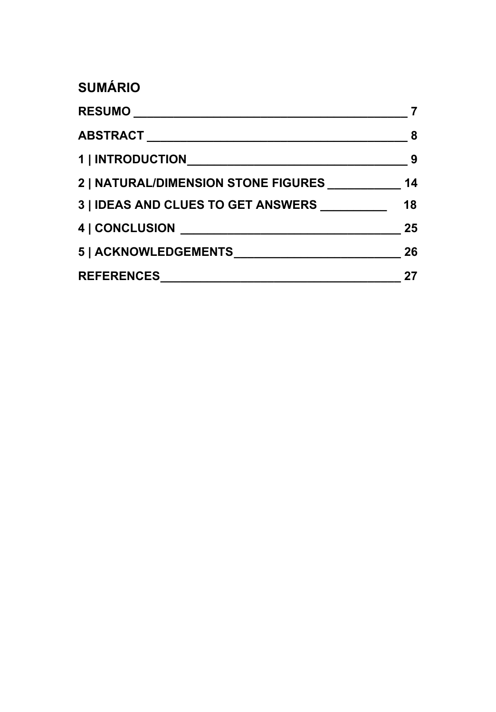# **SUMÁRIO**

| 2   NATURAL/DIMENSION STONE FIGURES | 14 |
|-------------------------------------|----|
| 3   IDEAS AND CLUES TO GET ANSWERS  | 18 |
|                                     | 25 |
|                                     | 26 |
| REFERENCES                          | 27 |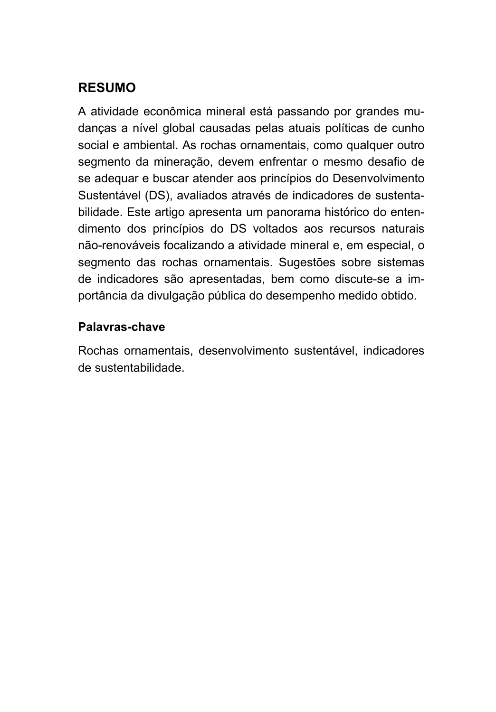### **RESUMO**

A atividade econômica mineral está passando por grandes mudanças a nível global causadas pelas atuais políticas de cunho social e ambiental. As rochas ornamentais, como qualquer outro segmento da mineração, devem enfrentar o mesmo desafio de se adequar e buscar atender aos princípios do Desenvolvimento Sustentável (DS), avaliados através de indicadores de sustentabilidade. Este artigo apresenta um panorama histórico do entendimento dos princípios do DS voltados aos recursos naturais não-renováveis focalizando a atividade mineral e, em especial, o segmento das rochas ornamentais. Sugestões sobre sistemas de indicadores são apresentadas, bem como discute-se a importância da divulgação pública do desempenho medido obtido.

### **Palavras-chave**

Rochas ornamentais, desenvolvimento sustentável, indicadores de sustentabilidade.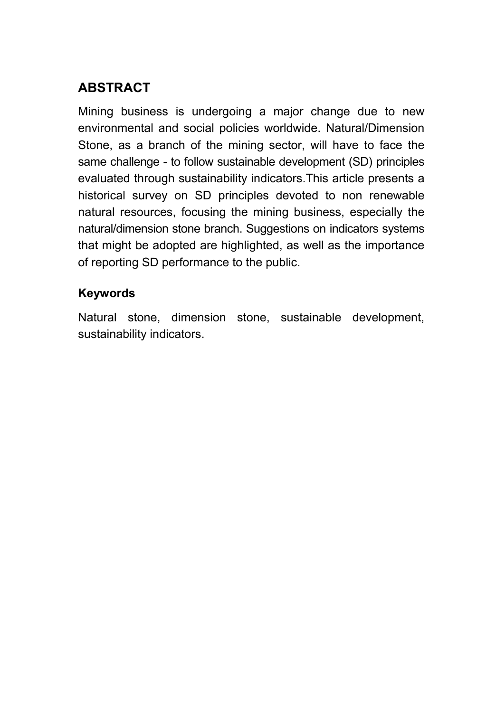# **ABSTRACT**

Mining business is undergoing a major change due to new environmental and social policies worldwide. Natural/Dimension Stone, as a branch of the mining sector, will have to face the same challenge - to follow sustainable development (SD) principles evaluated through sustainability indicators.This article presents a historical survey on SD principles devoted to non renewable natural resources, focusing the mining business, especially the natural/dimension stone branch. Suggestions on indicators systems that might be adopted are highlighted, as well as the importance of reporting SD performance to the public.

### **Keywords**

Natural stone, dimension stone, sustainable development, sustainability indicators.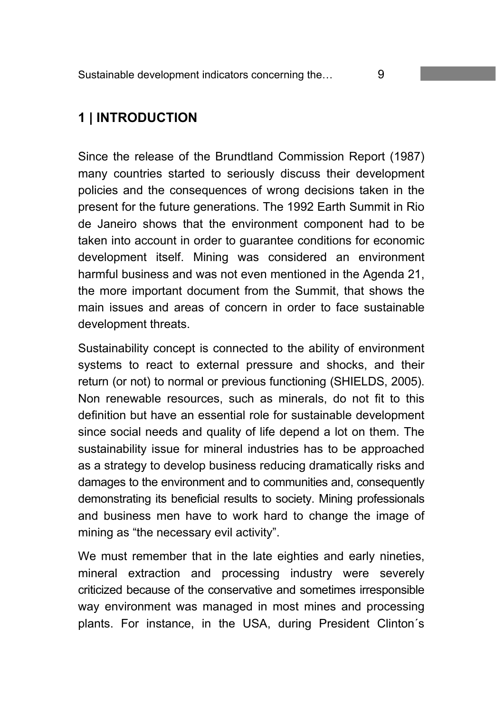# **1 | INTRODUCTION**

Since the release of the Brundtland Commission Report (1987) many countries started to seriously discuss their development policies and the consequences of wrong decisions taken in the present for the future generations. The 1992 Earth Summit in Rio de Janeiro shows that the environment component had to be taken into account in order to guarantee conditions for economic development itself. Mining was considered an environment harmful business and was not even mentioned in the Agenda 21, the more important document from the Summit, that shows the main issues and areas of concern in order to face sustainable development threats.

Sustainability concept is connected to the ability of environment systems to react to external pressure and shocks, and their return (or not) to normal or previous functioning (SHIELDS, 2005). Non renewable resources, such as minerals, do not fit to this definition but have an essential role for sustainable development since social needs and quality of life depend a lot on them. The sustainability issue for mineral industries has to be approached as a strategy to develop business reducing dramatically risks and damages to the environment and to communities and, consequently demonstrating its beneficial results to society. Mining professionals and business men have to work hard to change the image of mining as "the necessary evil activity".

We must remember that in the late eighties and early nineties, mineral extraction and processing industry were severely criticized because of the conservative and sometimes irresponsible way environment was managed in most mines and processing plants. For instance, in the USA, during President Clinton´s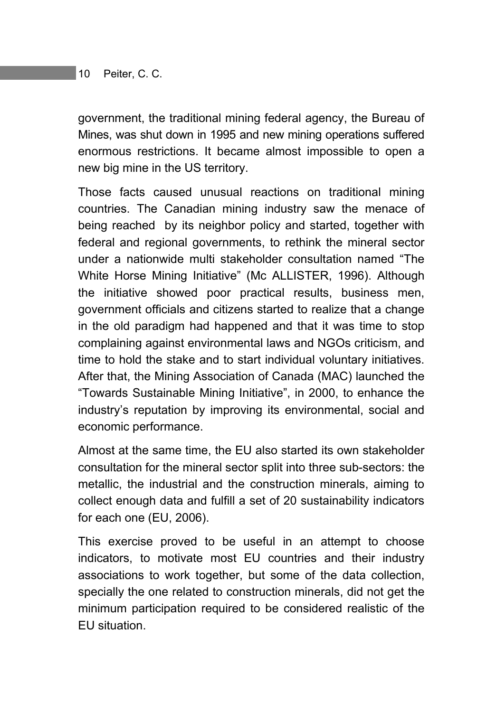government, the traditional mining federal agency, the Bureau of Mines, was shut down in 1995 and new mining operations suffered enormous restrictions. It became almost impossible to open a new big mine in the US territory.

Those facts caused unusual reactions on traditional mining countries. The Canadian mining industry saw the menace of being reached by its neighbor policy and started, together with federal and regional governments, to rethink the mineral sector under a nationwide multi stakeholder consultation named "The White Horse Mining Initiative" (Mc ALLISTER, 1996). Although the initiative showed poor practical results, business men, government officials and citizens started to realize that a change in the old paradigm had happened and that it was time to stop complaining against environmental laws and NGOs criticism, and time to hold the stake and to start individual voluntary initiatives. After that, the Mining Association of Canada (MAC) launched the "Towards Sustainable Mining Initiative", in 2000, to enhance the industry's reputation by improving its environmental, social and economic performance.

Almost at the same time, the EU also started its own stakeholder consultation for the mineral sector split into three sub-sectors: the metallic, the industrial and the construction minerals, aiming to collect enough data and fulfill a set of 20 sustainability indicators for each one (EU, 2006).

This exercise proved to be useful in an attempt to choose indicators, to motivate most EU countries and their industry associations to work together, but some of the data collection, specially the one related to construction minerals, did not get the minimum participation required to be considered realistic of the EU situation.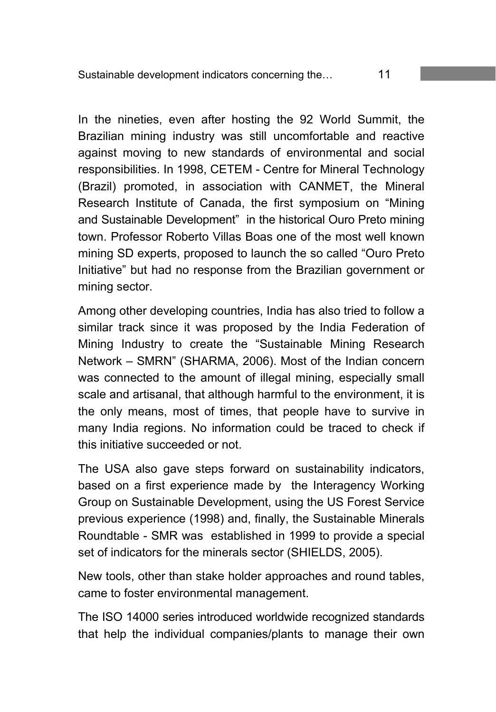In the nineties, even after hosting the 92 World Summit, the Brazilian mining industry was still uncomfortable and reactive against moving to new standards of environmental and social responsibilities. In 1998, CETEM - Centre for Mineral Technology (Brazil) promoted, in association with CANMET, the Mineral Research Institute of Canada, the first symposium on "Mining and Sustainable Development" in the historical Ouro Preto mining town. Professor Roberto Villas Boas one of the most well known mining SD experts, proposed to launch the so called "Ouro Preto Initiative" but had no response from the Brazilian government or mining sector.

Among other developing countries, India has also tried to follow a similar track since it was proposed by the India Federation of Mining Industry to create the "Sustainable Mining Research Network – SMRN" (SHARMA, 2006). Most of the Indian concern was connected to the amount of illegal mining, especially small scale and artisanal, that although harmful to the environment, it is the only means, most of times, that people have to survive in many India regions. No information could be traced to check if this initiative succeeded or not.

The USA also gave steps forward on sustainability indicators, based on a first experience made by the Interagency Working Group on Sustainable Development, using the US Forest Service previous experience (1998) and, finally, the Sustainable Minerals Roundtable - SMR was established in 1999 to provide a special set of indicators for the minerals sector (SHIELDS, 2005).

New tools, other than stake holder approaches and round tables, came to foster environmental management.

The ISO 14000 series introduced worldwide recognized standards that help the individual companies/plants to manage their own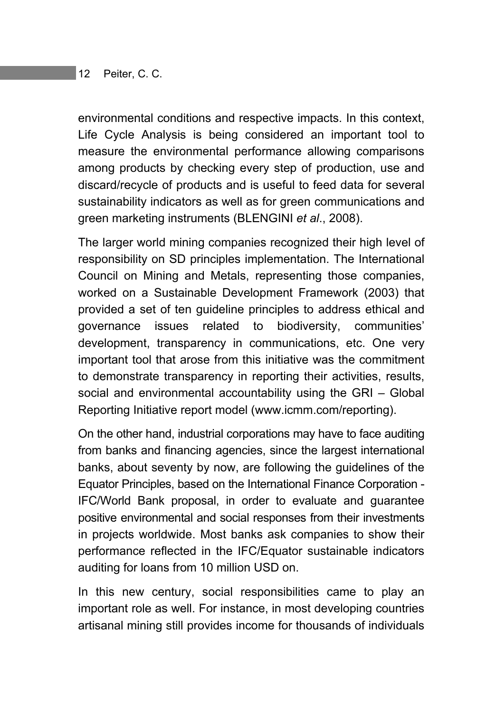environmental conditions and respective impacts. In this context, Life Cycle Analysis is being considered an important tool to measure the environmental performance allowing comparisons among products by checking every step of production, use and discard/recycle of products and is useful to feed data for several sustainability indicators as well as for green communications and green marketing instruments (BLENGINI *et al*., 2008).

The larger world mining companies recognized their high level of responsibility on SD principles implementation. The International Council on Mining and Metals, representing those companies, worked on a Sustainable Development Framework (2003) that provided a set of ten guideline principles to address ethical and governance issues related to biodiversity, communities' development, transparency in communications, etc. One very important tool that arose from this initiative was the commitment to demonstrate transparency in reporting their activities, results, social and environmental accountability using the GRI – Global Reporting Initiative report model (www.icmm.com/reporting).

On the other hand, industrial corporations may have to face auditing from banks and financing agencies, since the largest international banks, about seventy by now, are following the guidelines of the Equator Principles, based on the International Finance Corporation - IFC/World Bank proposal, in order to evaluate and guarantee positive environmental and social responses from their investments in projects worldwide. Most banks ask companies to show their performance reflected in the IFC/Equator sustainable indicators auditing for loans from 10 million USD on.

In this new century, social responsibilities came to play an important role as well. For instance, in most developing countries artisanal mining still provides income for thousands of individuals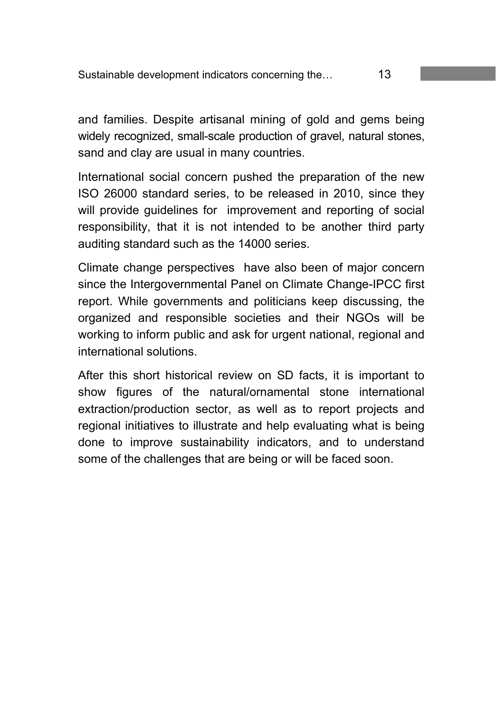and families. Despite artisanal mining of gold and gems being widely recognized, small-scale production of gravel, natural stones, sand and clay are usual in many countries.

International social concern pushed the preparation of the new ISO 26000 standard series, to be released in 2010, since they will provide guidelines for improvement and reporting of social responsibility, that it is not intended to be another third party auditing standard such as the 14000 series.

Climate change perspectives have also been of major concern since the Intergovernmental Panel on Climate Change-IPCC first report. While governments and politicians keep discussing, the organized and responsible societies and their NGOs will be working to inform public and ask for urgent national, regional and international solutions.

After this short historical review on SD facts, it is important to show figures of the natural/ornamental stone international extraction/production sector, as well as to report projects and regional initiatives to illustrate and help evaluating what is being done to improve sustainability indicators, and to understand some of the challenges that are being or will be faced soon.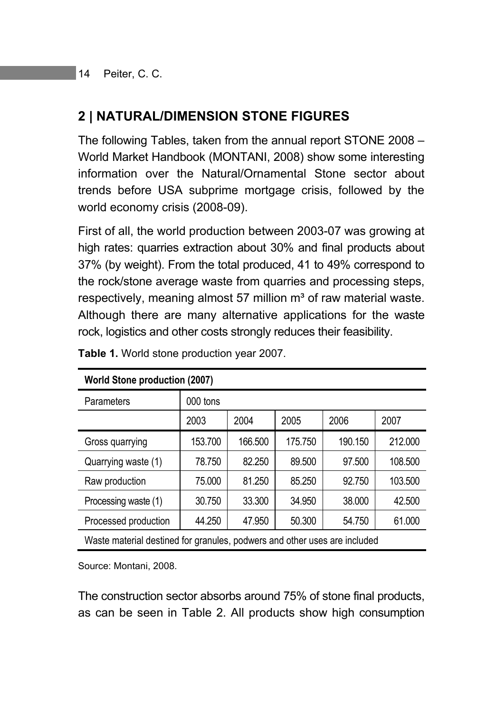# **2 | NATURAL/DIMENSION STONE FIGURES**

The following Tables, taken from the annual report STONE 2008 – World Market Handbook (MONTANI, 2008) show some interesting information over the Natural/Ornamental Stone sector about trends before USA subprime mortgage crisis, followed by the world economy crisis (2008-09).

First of all, the world production between 2003-07 was growing at high rates: quarries extraction about 30% and final products about 37% (by weight). From the total produced, 41 to 49% correspond to the rock/stone average waste from quarries and processing steps, respectively, meaning almost 57 million  $m<sup>3</sup>$  of raw material waste. Although there are many alternative applications for the waste rock, logistics and other costs strongly reduces their feasibility.

| Parameters           | 000 tons |         |         |         |         |
|----------------------|----------|---------|---------|---------|---------|
|                      | 2003     | 2004    | 2005    | 2006    | 2007    |
| Gross quarrying      | 153.700  | 166.500 | 175.750 | 190.150 | 212.000 |
| Quarrying waste (1)  | 78.750   | 82.250  | 89.500  | 97.500  | 108.500 |
| Raw production       | 75.000   | 81.250  | 85.250  | 92.750  | 103.500 |
| Processing waste (1) | 30.750   | 33.300  | 34.950  | 38,000  | 42.500  |
| Processed production | 44.250   | 47.950  | 50.300  | 54.750  | 61.000  |
| $\mathbf{r}$         |          |         |         | .       |         |

**Table 1.** World stone production year 2007.

**World Stone production (2007)** 

Waste material destined for granules, podwers and other uses are included

Source: Montani, 2008.

The construction sector absorbs around 75% of stone final products, as can be seen in Table 2. All products show high consumption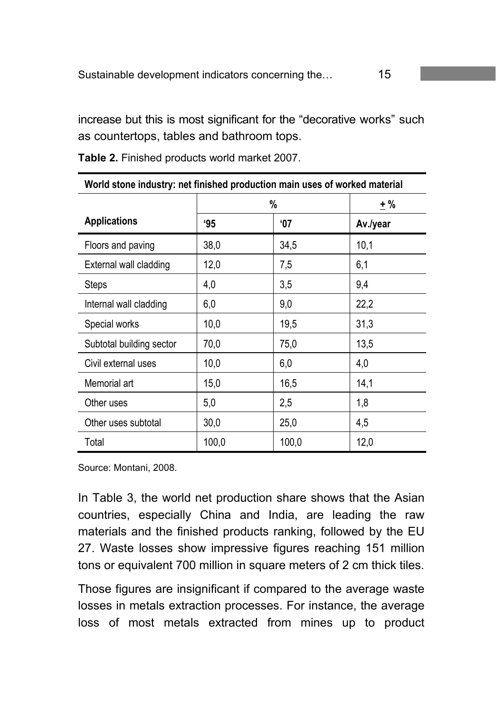increase but this is most significant for the "decorative works" such as countertops, tables and bathroom tops.

| World stone industry: net finished production main uses of worked material |       |            |          |  |  |
|----------------------------------------------------------------------------|-------|------------|----------|--|--|
|                                                                            | %     |            | ±%       |  |  |
| <b>Applications</b>                                                        | 95    | <b>'07</b> | Av./year |  |  |
| Floors and paving                                                          | 38,0  | 34,5       | 10,1     |  |  |
| External wall cladding                                                     | 12,0  | 7,5        | 6,1      |  |  |
| <b>Steps</b>                                                               | 4,0   | 3,5        | 9,4      |  |  |
| Internal wall cladding                                                     | 6,0   | 9,0        | 22,2     |  |  |
| Special works                                                              | 10,0  | 19,5       | 31,3     |  |  |
| Subtotal building sector                                                   | 70,0  | 75,0       | 13,5     |  |  |
| Civil external uses                                                        | 10,0  | 6,0        | 4,0      |  |  |
| Memorial art                                                               | 15,0  | 16,5       | 14,1     |  |  |
| Other uses                                                                 | 5,0   | 2,5        | 1,8      |  |  |
| Other uses subtotal                                                        | 30,0  | 25,0       | 4,5      |  |  |
| Total                                                                      | 100,0 | 100,0      | 12,0     |  |  |

**Table 2.** Finished products world market 2007.

Source: Montani, 2008.

In Table 3, the world net production share shows that the Asian countries, especially China and India, are leading the raw materials and the finished products ranking, followed by the EU 27. Waste losses show impressive figures reaching 151 million tons or equivalent 700 million in square meters of 2 cm thick tiles.

Those figures are insignificant if compared to the average waste losses in metals extraction processes. For instance, the average loss of most metals extracted from mines up to product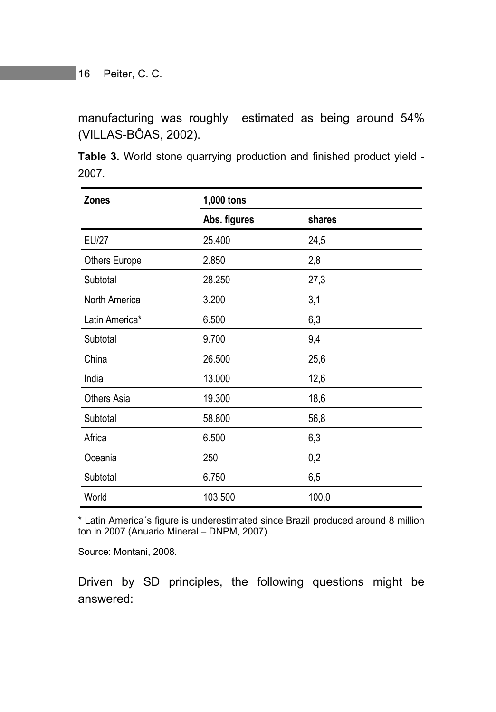manufacturing was roughly estimated as being around 54% (VILLAS-BÔAS, 2002).

**Table 3.** World stone quarrying production and finished product yield - 2007.

| <b>Zones</b>         | 1,000 tons   |        |  |
|----------------------|--------------|--------|--|
|                      | Abs. figures | shares |  |
| <b>EU/27</b>         | 25.400       | 24,5   |  |
| <b>Others Europe</b> | 2.850        | 2,8    |  |
| Subtotal             | 28.250       | 27,3   |  |
| North America        | 3.200        | 3,1    |  |
| Latin America*       | 6.500        | 6,3    |  |
| Subtotal             | 9.700        | 9,4    |  |
| China                | 26.500       | 25,6   |  |
| India                | 13.000       | 12,6   |  |
| <b>Others Asia</b>   | 19.300       | 18,6   |  |
| Subtotal             | 58.800       | 56,8   |  |
| Africa               | 6.500        | 6,3    |  |
| Oceania              | 250          | 0,2    |  |
| Subtotal             | 6.750        | 6,5    |  |
| World                | 103.500      | 100,0  |  |

\* Latin America´s figure is underestimated since Brazil produced around 8 million ton in 2007 (Anuario Mineral – DNPM, 2007).

Source: Montani, 2008.

Driven by SD principles, the following questions might be answered: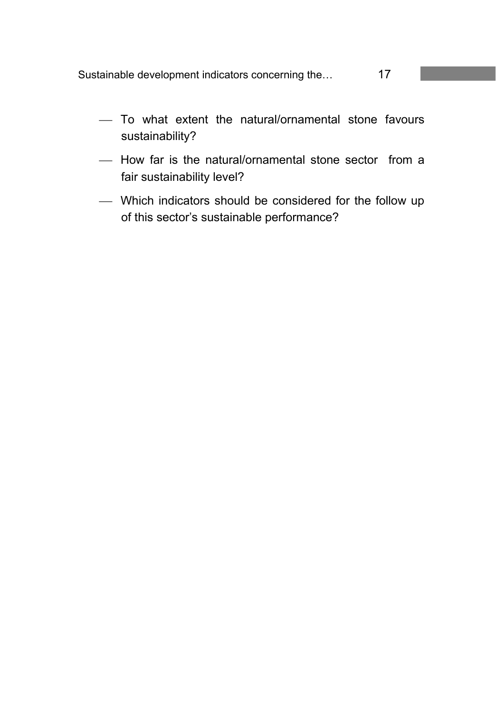Sustainable development indicators concerning the… 17

- To what extent the natural/ornamental stone favours sustainability?
- $-$  How far is the natural/ornamental stone sector from a fair sustainability level?
- Which indicators should be considered for the follow up of this sector's sustainable performance?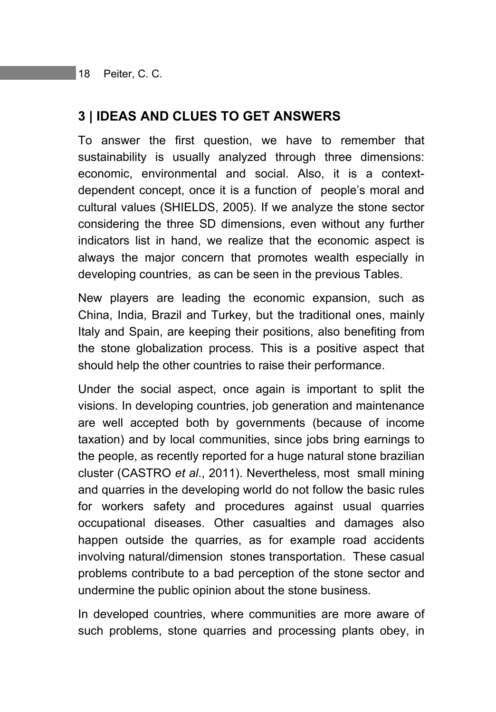### **3 | IDEAS AND CLUES TO GET ANSWERS**

To answer the first question, we have to remember that sustainability is usually analyzed through three dimensions: economic, environmental and social. Also, it is a contextdependent concept, once it is a function of people's moral and cultural values (SHIELDS, 2005). If we analyze the stone sector considering the three SD dimensions, even without any further indicators list in hand, we realize that the economic aspect is always the major concern that promotes wealth especially in developing countries, as can be seen in the previous Tables.

New players are leading the economic expansion, such as China, India, Brazil and Turkey, but the traditional ones, mainly Italy and Spain, are keeping their positions, also benefiting from the stone globalization process. This is a positive aspect that should help the other countries to raise their performance.

Under the social aspect, once again is important to split the visions. In developing countries, job generation and maintenance are well accepted both by governments (because of income taxation) and by local communities, since jobs bring earnings to the people, as recently reported for a huge natural stone brazilian cluster (CASTRO *et al*., 2011). Nevertheless, most small mining and quarries in the developing world do not follow the basic rules for workers safety and procedures against usual quarries occupational diseases. Other casualties and damages also happen outside the quarries, as for example road accidents involving natural/dimension stones transportation. These casual problems contribute to a bad perception of the stone sector and undermine the public opinion about the stone business.

In developed countries, where communities are more aware of such problems, stone quarries and processing plants obey, in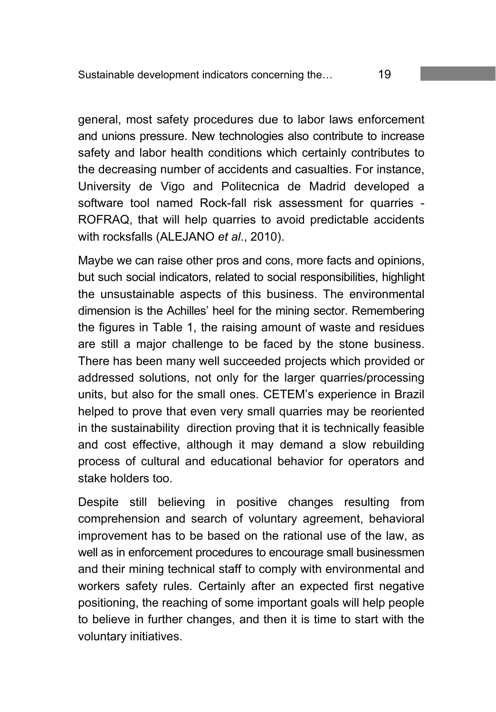general, most safety procedures due to labor laws enforcement and unions pressure. New technologies also contribute to increase safety and labor health conditions which certainly contributes to the decreasing number of accidents and casualties. For instance, University de Vigo and Politecnica de Madrid developed a software tool named Rock-fall risk assessment for quarries - ROFRAQ, that will help quarries to avoid predictable accidents with rocksfalls (ALEJANO *et al*., 2010).

Maybe we can raise other pros and cons, more facts and opinions, but such social indicators, related to social responsibilities, highlight the unsustainable aspects of this business. The environmental dimension is the Achilles' heel for the mining sector. Remembering the figures in Table 1, the raising amount of waste and residues are still a major challenge to be faced by the stone business. There has been many well succeeded projects which provided or addressed solutions, not only for the larger quarries/processing units, but also for the small ones. CETEM's experience in Brazil helped to prove that even very small quarries may be reoriented in the sustainability direction proving that it is technically feasible and cost effective, although it may demand a slow rebuilding process of cultural and educational behavior for operators and stake holders too.

Despite still believing in positive changes resulting from comprehension and search of voluntary agreement, behavioral improvement has to be based on the rational use of the law, as well as in enforcement procedures to encourage small businessmen and their mining technical staff to comply with environmental and workers safety rules. Certainly after an expected first negative positioning, the reaching of some important goals will help people to believe in further changes, and then it is time to start with the voluntary initiatives.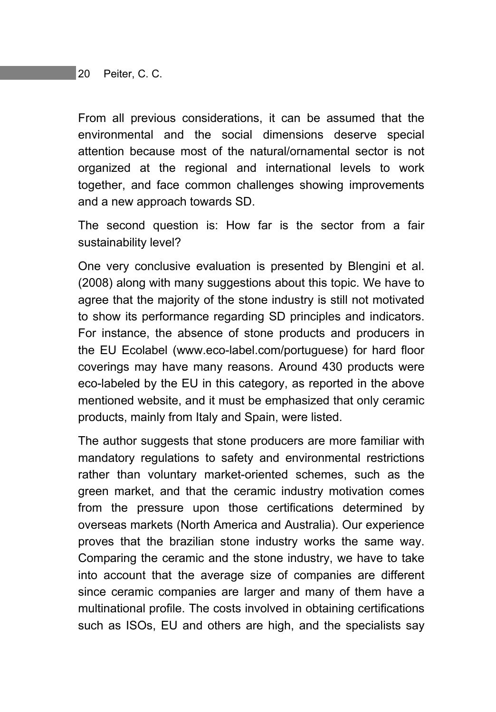From all previous considerations, it can be assumed that the environmental and the social dimensions deserve special attention because most of the natural/ornamental sector is not organized at the regional and international levels to work together, and face common challenges showing improvements and a new approach towards SD.

The second question is: How far is the sector from a fair sustainability level?

One very conclusive evaluation is presented by Blengini et al. (2008) along with many suggestions about this topic. We have to agree that the majority of the stone industry is still not motivated to show its performance regarding SD principles and indicators. For instance, the absence of stone products and producers in the EU Ecolabel (www.eco-label.com/portuguese) for hard floor coverings may have many reasons. Around 430 products were eco-labeled by the EU in this category, as reported in the above mentioned website, and it must be emphasized that only ceramic products, mainly from Italy and Spain, were listed.

The author suggests that stone producers are more familiar with mandatory regulations to safety and environmental restrictions rather than voluntary market-oriented schemes, such as the green market, and that the ceramic industry motivation comes from the pressure upon those certifications determined by overseas markets (North America and Australia). Our experience proves that the brazilian stone industry works the same way. Comparing the ceramic and the stone industry, we have to take into account that the average size of companies are different since ceramic companies are larger and many of them have a multinational profile. The costs involved in obtaining certifications such as ISOs, EU and others are high, and the specialists say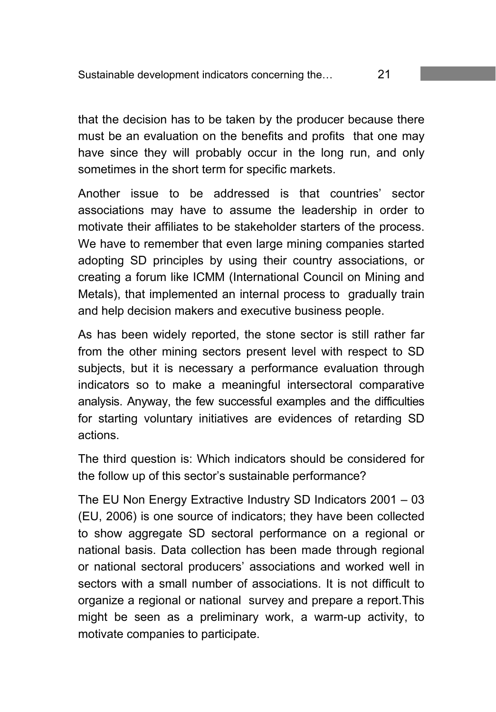that the decision has to be taken by the producer because there must be an evaluation on the benefits and profits that one may have since they will probably occur in the long run, and only sometimes in the short term for specific markets.

Another issue to be addressed is that countries' sector associations may have to assume the leadership in order to motivate their affiliates to be stakeholder starters of the process. We have to remember that even large mining companies started adopting SD principles by using their country associations, or creating a forum like ICMM (International Council on Mining and Metals), that implemented an internal process to gradually train and help decision makers and executive business people.

As has been widely reported, the stone sector is still rather far from the other mining sectors present level with respect to SD subjects, but it is necessary a performance evaluation through indicators so to make a meaningful intersectoral comparative analysis. Anyway, the few successful examples and the difficulties for starting voluntary initiatives are evidences of retarding SD actions.

The third question is: Which indicators should be considered for the follow up of this sector's sustainable performance?

The EU Non Energy Extractive Industry SD Indicators 2001 – 03 (EU, 2006) is one source of indicators; they have been collected to show aggregate SD sectoral performance on a regional or national basis. Data collection has been made through regional or national sectoral producers' associations and worked well in sectors with a small number of associations. It is not difficult to organize a regional or national survey and prepare a report.This might be seen as a preliminary work, a warm-up activity, to motivate companies to participate.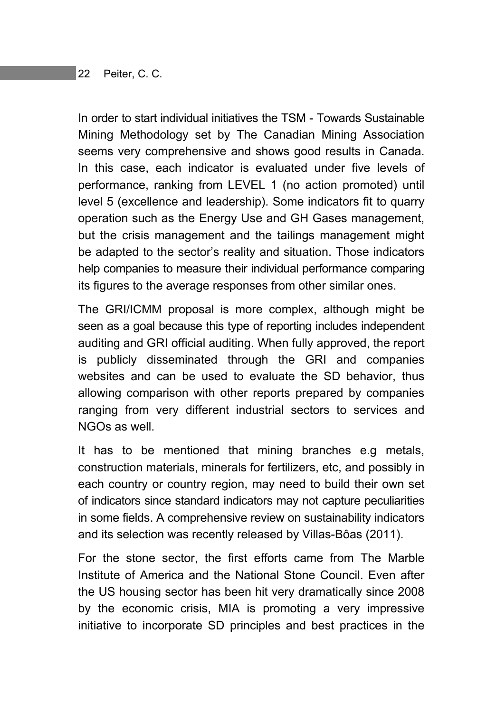In order to start individual initiatives the TSM - Towards Sustainable Mining Methodology set by The Canadian Mining Association seems very comprehensive and shows good results in Canada. In this case, each indicator is evaluated under five levels of performance, ranking from LEVEL 1 (no action promoted) until level 5 (excellence and leadership). Some indicators fit to quarry operation such as the Energy Use and GH Gases management, but the crisis management and the tailings management might be adapted to the sector's reality and situation. Those indicators help companies to measure their individual performance comparing its figures to the average responses from other similar ones.

The GRI/ICMM proposal is more complex, although might be seen as a goal because this type of reporting includes independent auditing and GRI official auditing. When fully approved, the report is publicly disseminated through the GRI and companies websites and can be used to evaluate the SD behavior, thus allowing comparison with other reports prepared by companies ranging from very different industrial sectors to services and NGOs as well.

It has to be mentioned that mining branches e.g metals, construction materials, minerals for fertilizers, etc, and possibly in each country or country region, may need to build their own set of indicators since standard indicators may not capture peculiarities in some fields. A comprehensive review on sustainability indicators and its selection was recently released by Villas-Bôas (2011).

For the stone sector, the first efforts came from The Marble Institute of America and the National Stone Council. Even after the US housing sector has been hit very dramatically since 2008 by the economic crisis, MIA is promoting a very impressive initiative to incorporate SD principles and best practices in the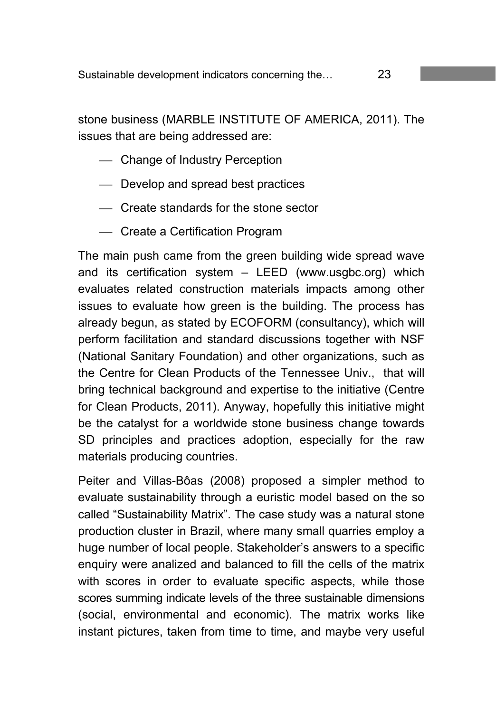stone business (MARBLE INSTITUTE OF AMERICA, 2011). The issues that are being addressed are:

- Change of Industry Perception
- Develop and spread best practices
- Create standards for the stone sector
- Create a Certification Program

The main push came from the green building wide spread wave and its certification system – LEED (www.usgbc.org) which evaluates related construction materials impacts among other issues to evaluate how green is the building. The process has already begun, as stated by ECOFORM (consultancy), which will perform facilitation and standard discussions together with NSF (National Sanitary Foundation) and other organizations, such as the Centre for Clean Products of the Tennessee Univ., that will bring technical background and expertise to the initiative (Centre for Clean Products, 2011). Anyway, hopefully this initiative might be the catalyst for a worldwide stone business change towards SD principles and practices adoption, especially for the raw materials producing countries.

Peiter and Villas-Bôas (2008) proposed a simpler method to evaluate sustainability through a euristic model based on the so called "Sustainability Matrix". The case study was a natural stone production cluster in Brazil, where many small quarries employ a huge number of local people. Stakeholder's answers to a specific enquiry were analized and balanced to fill the cells of the matrix with scores in order to evaluate specific aspects, while those scores summing indicate levels of the three sustainable dimensions (social, environmental and economic). The matrix works like instant pictures, taken from time to time, and maybe very useful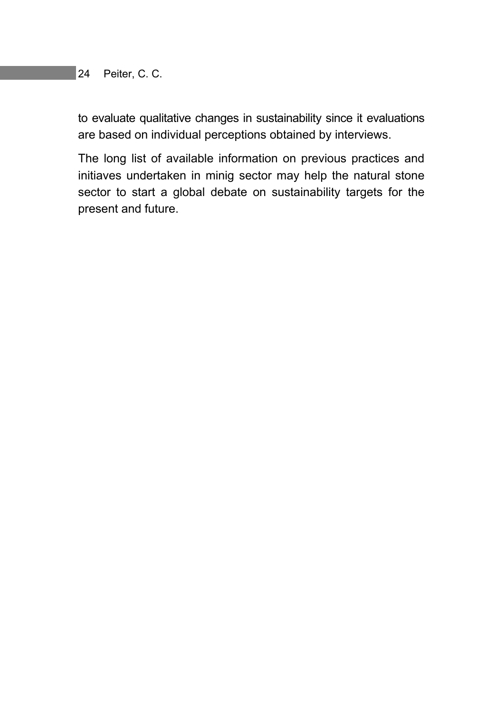to evaluate qualitative changes in sustainability since it evaluations are based on individual perceptions obtained by interviews.

The long list of available information on previous practices and initiaves undertaken in minig sector may help the natural stone sector to start a global debate on sustainability targets for the present and future.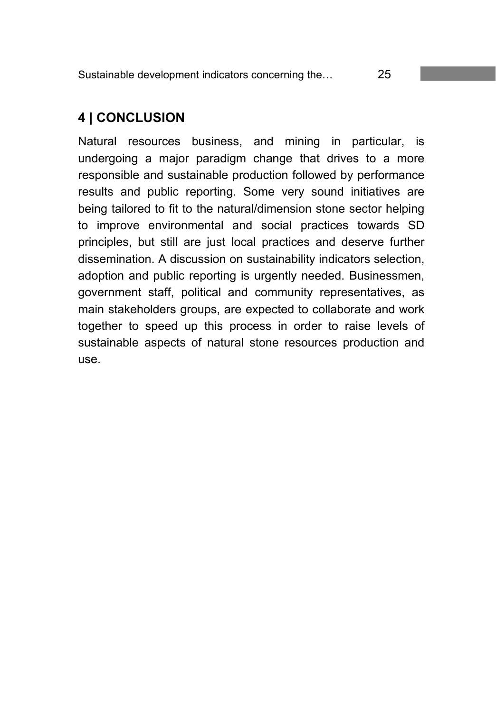Sustainable development indicators concerning the… 25

### **4 | CONCLUSION**

Natural resources business, and mining in particular, is undergoing a major paradigm change that drives to a more responsible and sustainable production followed by performance results and public reporting. Some very sound initiatives are being tailored to fit to the natural/dimension stone sector helping to improve environmental and social practices towards SD principles, but still are just local practices and deserve further dissemination. A discussion on sustainability indicators selection, adoption and public reporting is urgently needed. Businessmen, government staff, political and community representatives, as main stakeholders groups, are expected to collaborate and work together to speed up this process in order to raise levels of sustainable aspects of natural stone resources production and use.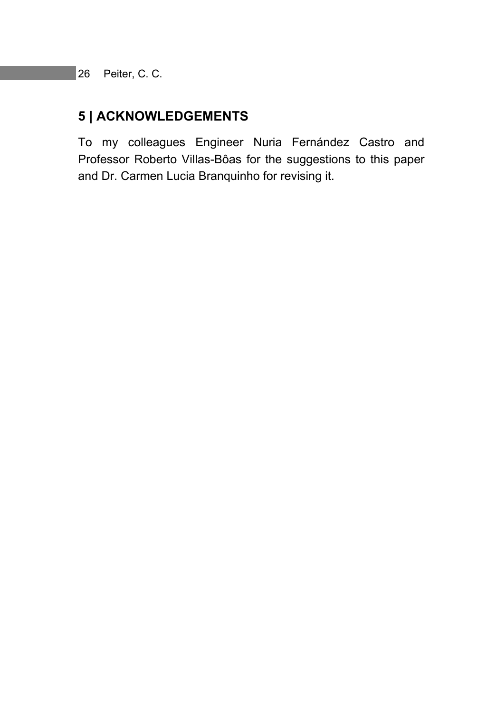### **5 | ACKNOWLEDGEMENTS**

To my colleagues Engineer Nuria Fernández Castro and Professor Roberto Villas-Bôas for the suggestions to this paper and Dr. Carmen Lucia Branquinho for revising it.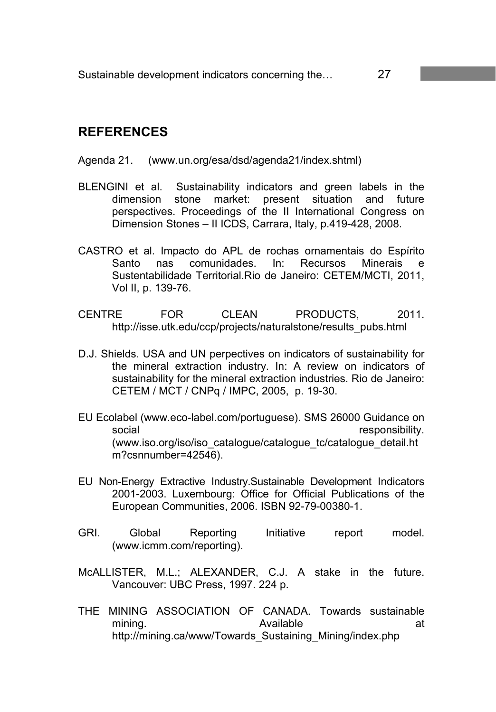### **REFERENCES**

#### Agenda 21. (www.un.org/esa/dsd/agenda21/index.shtml)

- BLENGINI et al. Sustainability indicators and green labels in the dimension stone market: present situation and future perspectives. Proceedings of the II International Congress on Dimension Stones – II ICDS, Carrara, Italy, p.419-428, 2008.
- CASTRO et al. Impacto do APL de rochas ornamentais do Espírito Santo nas comunidades. In: Recursos Minerais e Sustentabilidade Territorial.Rio de Janeiro: CETEM/MCTI, 2011, Vol II, p. 139-76.
- CENTRE FOR CLEAN PRODUCTS, 2011. http://isse.utk.edu/ccp/projects/naturalstone/results\_pubs.html
- D.J. Shields. USA and UN perpectives on indicators of sustainability for the mineral extraction industry. In: A review on indicators of sustainability for the mineral extraction industries. Rio de Janeiro: CETEM / MCT / CNPq / IMPC, 2005, p. 19-30.
- EU Ecolabel (www.eco-label.com/portuguese). SMS 26000 Guidance on social responsibility. (www.iso.org/iso/iso\_catalogue/catalogue\_tc/catalogue\_detail.ht m?csnnumber=42546).
- EU Non-Energy Extractive Industry.Sustainable Development Indicators 2001-2003. Luxembourg: Office for Official Publications of the European Communities, 2006. ISBN 92-79-00380-1.
- GRI. Global Reporting Initiative report model. (www.icmm.com/reporting).
- McALLISTER, M.L.; ALEXANDER, C.J. A stake in the future. Vancouver: UBC Press, 1997. 224 p.
- THE MINING ASSOCIATION OF CANADA. Towards sustainable mining. The according Available at the athttp://mining.ca/www/Towards\_Sustaining\_Mining/index.php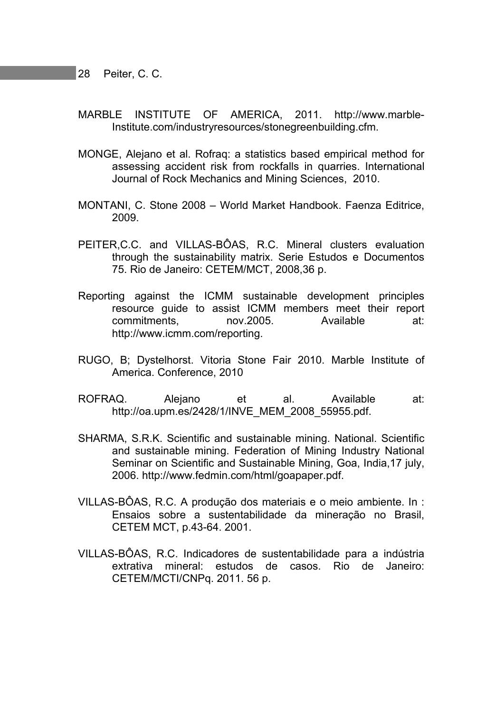- MARBLE INSTITUTE OF AMERICA, 2011. http://www.marble-Institute.com/industryresources/stonegreenbuilding.cfm.
- MONGE, Alejano et al. Rofraq: a statistics based empirical method for assessing accident risk from rockfalls in quarries. International Journal of Rock Mechanics and Mining Sciences, 2010.
- MONTANI, C. Stone 2008 World Market Handbook. Faenza Editrice, 2009.
- PEITER,C.C. and VILLAS-BÔAS, R.C. Mineral clusters evaluation through the sustainability matrix. Serie Estudos e Documentos 75. Rio de Janeiro: CETEM/MCT, 2008,36 p.
- Reporting against the ICMM sustainable development principles resource guide to assist ICMM members meet their report commitments, nov.2005. Available at: http://www.icmm.com/reporting.
- RUGO, B; Dystelhorst. Vitoria Stone Fair 2010. Marble Institute of America. Conference, 2010
- ROFRAQ. Alejano et al. Available at: http://oa.upm.es/2428/1/INVE\_MEM\_2008\_55955.pdf.
- SHARMA, S.R.K. Scientific and sustainable mining. National. Scientific and sustainable mining. Federation of Mining Industry National Seminar on Scientific and Sustainable Mining, Goa, India,17 july, 2006. http://www.fedmin.com/html/goapaper.pdf.
- VILLAS-BÔAS, R.C. A produção dos materiais e o meio ambiente. In : Ensaios sobre a sustentabilidade da mineração no Brasil, CETEM MCT, p.43-64. 2001.
- VILLAS-BÔAS, R.C. Indicadores de sustentabilidade para a indústria extrativa mineral: estudos de casos. Rio de Janeiro: CETEM/MCTI/CNPq. 2011. 56 p.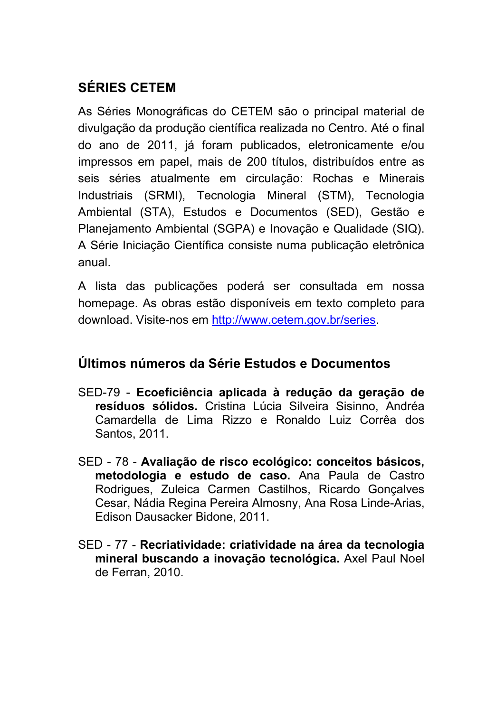# **SÉRIES CETEM**

As Séries Monográficas do CETEM são o principal material de divulgação da produção científica realizada no Centro. Até o final do ano de 2011, já foram publicados, eletronicamente e/ou impressos em papel, mais de 200 títulos, distribuídos entre as seis séries atualmente em circulação: Rochas e Minerais Industriais (SRMI), Tecnologia Mineral (STM), Tecnologia Ambiental (STA), Estudos e Documentos (SED), Gestão e Planejamento Ambiental (SGPA) e Inovação e Qualidade (SIQ). A Série Iniciação Científica consiste numa publicação eletrônica anual.

A lista das publicações poderá ser consultada em nossa homepage. As obras estão disponíveis em texto completo para download. Visite-nos em http://www.cetem.gov.br/series.

### **Últimos números da Série Estudos e Documentos**

- SED-79 **Ecoeficiência aplicada à redução da geração de resíduos sólidos.** Cristina Lúcia Silveira Sisinno, Andréa Camardella de Lima Rizzo e Ronaldo Luiz Corrêa dos Santos, 2011.
- SED 78 **Avaliação de risco ecológico: conceitos básicos, metodologia e estudo de caso.** Ana Paula de Castro Rodrigues, Zuleica Carmen Castilhos, Ricardo Gonçalves Cesar, Nádia Regina Pereira Almosny, Ana Rosa Linde-Arias, Edison Dausacker Bidone, 2011.
- SED 77 **Recriatividade: criatividade na área da tecnologia mineral buscando a inovação tecnológica.** Axel Paul Noel de Ferran, 2010.